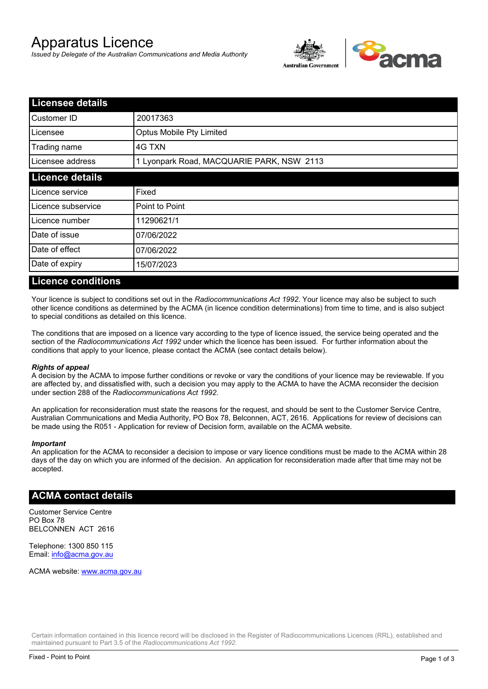# Apparatus Licence

*Issued by Delegate of the Australian Communications and Media Authority*



| <b>Licensee details</b> |                                           |  |
|-------------------------|-------------------------------------------|--|
| Customer ID             | 20017363                                  |  |
| Licensee                | Optus Mobile Pty Limited                  |  |
| Trading name            | 4G TXN                                    |  |
| Licensee address        | 1 Lyonpark Road, MACQUARIE PARK, NSW 2113 |  |
| <b>Licence details</b>  |                                           |  |
| Licence service         | Fixed                                     |  |
| Licence subservice      | Point to Point                            |  |
| Licence number          | 11290621/1                                |  |
| Date of issue           | 07/06/2022                                |  |
| Date of effect          | 07/06/2022                                |  |
| Date of expiry          | 15/07/2023                                |  |

#### **Licence conditions**

Your licence is subject to conditions set out in the *Radiocommunications Act 1992*. Your licence may also be subject to such other licence conditions as determined by the ACMA (in licence condition determinations) from time to time, and is also subject to special conditions as detailed on this licence.

The conditions that are imposed on a licence vary according to the type of licence issued, the service being operated and the section of the *Radiocommunications Act 1992* under which the licence has been issued. For further information about the conditions that apply to your licence, please contact the ACMA (see contact details below).

#### *Rights of appeal*

A decision by the ACMA to impose further conditions or revoke or vary the conditions of your licence may be reviewable. If you are affected by, and dissatisfied with, such a decision you may apply to the ACMA to have the ACMA reconsider the decision under section 288 of the *Radiocommunications Act 1992*.

An application for reconsideration must state the reasons for the request, and should be sent to the Customer Service Centre, Australian Communications and Media Authority, PO Box 78, Belconnen, ACT, 2616. Applications for review of decisions can be made using the R051 - Application for review of Decision form, available on the ACMA website.

#### *Important*

An application for the ACMA to reconsider a decision to impose or vary licence conditions must be made to the ACMA within 28 days of the day on which you are informed of the decision. An application for reconsideration made after that time may not be accepted.

### **ACMA contact details**

Customer Service Centre PO Box 78 BELCONNEN ACT 2616

Telephone: 1300 850 115 Email: info@acma.gov.au

ACMA website: www.acma.gov.au

Certain information contained in this licence record will be disclosed in the Register of Radiocommunications Licences (RRL), established and maintained pursuant to Part 3.5 of the *Radiocommunications Act 1992.*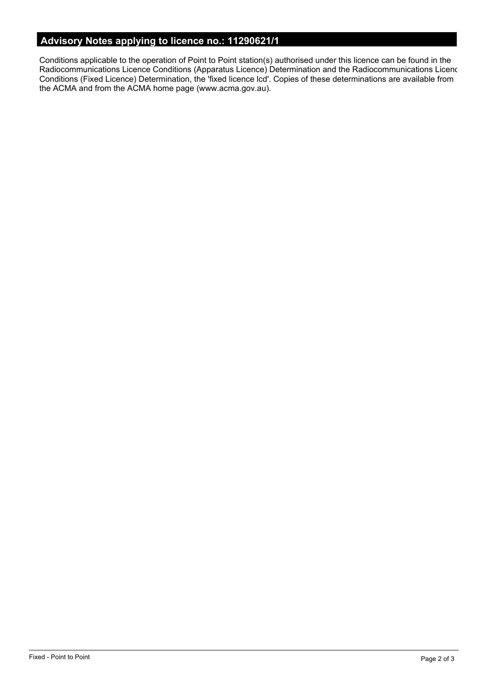# **Advisory Notes applying to licence no.: 11290621/1**

Conditions applicable to the operation of Point to Point station(s) authorised under this licence can be found in the Radiocommunications Licence Conditions (Apparatus Licence) Determination and the Radiocommunications Licence Conditions (Fixed Licence) Determination, the 'fixed licence lcd'. Copies of these determinations are available from the ACMA and from the ACMA home page (www.acma.gov.au).